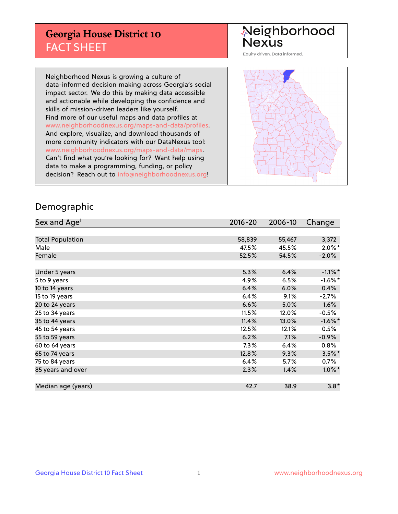## **Georgia House District 10** FACT SHEET

# Neighborhood<br>Nexus

Equity driven. Data informed.

Neighborhood Nexus is growing a culture of data-informed decision making across Georgia's social impact sector. We do this by making data accessible and actionable while developing the confidence and skills of mission-driven leaders like yourself. Find more of our useful maps and data profiles at www.neighborhoodnexus.org/maps-and-data/profiles. And explore, visualize, and download thousands of more community indicators with our DataNexus tool: www.neighborhoodnexus.org/maps-and-data/maps. Can't find what you're looking for? Want help using data to make a programming, funding, or policy decision? Reach out to [info@neighborhoodnexus.org!](mailto:info@neighborhoodnexus.org)



### Demographic

| Sex and Age <sup>1</sup> | $2016 - 20$ | 2006-10 | Change     |
|--------------------------|-------------|---------|------------|
|                          |             |         |            |
| <b>Total Population</b>  | 58,839      | 55,467  | 3,372      |
| Male                     | 47.5%       | 45.5%   | $2.0\%$ *  |
| Female                   | 52.5%       | 54.5%   | $-2.0%$    |
|                          |             |         |            |
| Under 5 years            | 5.3%        | 6.4%    | $-1.1\%$ * |
| 5 to 9 years             | 4.9%        | 6.5%    | $-1.6\%$ * |
| 10 to 14 years           | 6.4%        | 6.0%    | 0.4%       |
| 15 to 19 years           | 6.4%        | 9.1%    | $-2.7\%$   |
| 20 to 24 years           | 6.6%        | 5.0%    | 1.6%       |
| 25 to 34 years           | 11.5%       | 12.0%   | $-0.5%$    |
| 35 to 44 years           | 11.4%       | 13.0%   | $-1.6%$ *  |
| 45 to 54 years           | 12.5%       | 12.1%   | 0.5%       |
| 55 to 59 years           | 6.2%        | 7.1%    | $-0.9%$    |
| 60 to 64 years           | $7.3\%$     | 6.4%    | $0.8\%$    |
| 65 to 74 years           | 12.8%       | 9.3%    | $3.5\%$ *  |
| 75 to 84 years           | 6.4%        | 5.7%    | $0.7\%$    |
| 85 years and over        | 2.3%        | 1.4%    | $1.0\%$ *  |
|                          |             |         |            |
| Median age (years)       | 42.7        | 38.9    | $3.8*$     |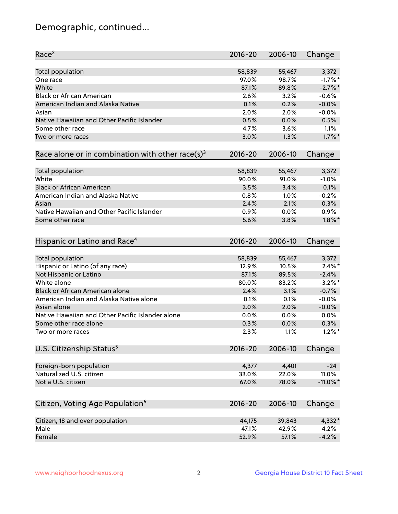## Demographic, continued...

| Race <sup>2</sup>                                            | $2016 - 20$ | 2006-10 | Change      |
|--------------------------------------------------------------|-------------|---------|-------------|
| <b>Total population</b>                                      | 58,839      | 55,467  | 3,372       |
| One race                                                     | 97.0%       | 98.7%   | $-1.7%$ *   |
| White                                                        | 87.1%       | 89.8%   | $-2.7%$     |
| <b>Black or African American</b>                             | 2.6%        | 3.2%    | $-0.6%$     |
| American Indian and Alaska Native                            | 0.1%        | 0.2%    | $-0.0%$     |
| Asian                                                        | 2.0%        | 2.0%    | $-0.0%$     |
| Native Hawaiian and Other Pacific Islander                   | 0.5%        | 0.0%    | 0.5%        |
| Some other race                                              | 4.7%        | 3.6%    | 1.1%        |
| Two or more races                                            | 3.0%        | 1.3%    | $1.7\%$ *   |
| Race alone or in combination with other race(s) <sup>3</sup> | $2016 - 20$ | 2006-10 | Change      |
| <b>Total population</b>                                      | 58,839      | 55,467  | 3,372       |
| White                                                        | 90.0%       | 91.0%   | $-1.0%$     |
| <b>Black or African American</b>                             | 3.5%        | 3.4%    | 0.1%        |
| American Indian and Alaska Native                            | 0.8%        | 1.0%    | $-0.2%$     |
| Asian                                                        | 2.4%        | 2.1%    | 0.3%        |
| Native Hawaiian and Other Pacific Islander                   | 0.9%        | 0.0%    | 0.9%        |
| Some other race                                              | 5.6%        | 3.8%    | $1.8\%$ *   |
| Hispanic or Latino and Race <sup>4</sup>                     | $2016 - 20$ | 2006-10 | Change      |
| <b>Total population</b>                                      | 58,839      | 55,467  | 3,372       |
| Hispanic or Latino (of any race)                             | 12.9%       | 10.5%   | $2.4\%$ *   |
| Not Hispanic or Latino                                       | 87.1%       | 89.5%   | $-2.4%$     |
| White alone                                                  | 80.0%       | 83.2%   | $-3.2%$ *   |
| <b>Black or African American alone</b>                       | 2.4%        | 3.1%    | $-0.7%$     |
| American Indian and Alaska Native alone                      | 0.1%        | 0.1%    | $-0.0%$     |
| Asian alone                                                  | 2.0%        | 2.0%    | $-0.0%$     |
| Native Hawaiian and Other Pacific Islander alone             | 0.0%        | 0.0%    | 0.0%        |
| Some other race alone                                        | 0.3%        | 0.0%    | 0.3%        |
| Two or more races                                            | 2.3%        | 1.1%    | $1.2\%$ *   |
| U.S. Citizenship Status <sup>5</sup>                         | $2016 - 20$ | 2006-10 | Change      |
|                                                              |             |         |             |
| Foreign-born population                                      | 4,377       | 4,401   | $-24$       |
| Naturalized U.S. citizen                                     | 33.0%       | 22.0%   | 11.0%       |
| Not a U.S. citizen                                           | 67.0%       | 78.0%   | $-11.0\%$ * |
| Citizen, Voting Age Population <sup>6</sup>                  | 2016-20     | 2006-10 | Change      |
| Citizen, 18 and over population                              | 44,175      | 39,843  | 4,332*      |
| Male                                                         | 47.1%       | 42.9%   | 4.2%        |
| Female                                                       | 52.9%       | 57.1%   | $-4.2%$     |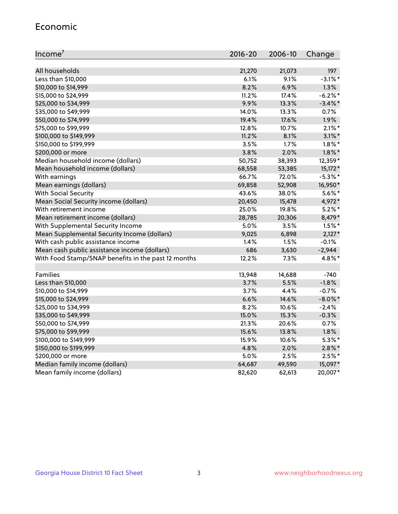#### Economic

| Income <sup>7</sup>                                 | $2016 - 20$ | 2006-10 | Change     |
|-----------------------------------------------------|-------------|---------|------------|
|                                                     |             |         |            |
| All households                                      | 21,270      | 21,073  | 197        |
| Less than \$10,000                                  | 6.1%        | 9.1%    | $-3.1\%$ * |
| \$10,000 to \$14,999                                | 8.2%        | 6.9%    | 1.3%       |
| \$15,000 to \$24,999                                | 11.2%       | 17.4%   | $-6.2%$    |
| \$25,000 to \$34,999                                | 9.9%        | 13.3%   | $-3.4\%$ * |
| \$35,000 to \$49,999                                | 14.0%       | 13.3%   | 0.7%       |
| \$50,000 to \$74,999                                | 19.4%       | 17.6%   | 1.9%       |
| \$75,000 to \$99,999                                | 12.8%       | 10.7%   | $2.1\%$ *  |
| \$100,000 to \$149,999                              | 11.2%       | 8.1%    | $3.1\%$ *  |
| \$150,000 to \$199,999                              | 3.5%        | 1.7%    | $1.8\%$ *  |
| \$200,000 or more                                   | 3.8%        | 2.0%    | $1.8\%$ *  |
| Median household income (dollars)                   | 50,752      | 38,393  | 12,359*    |
| Mean household income (dollars)                     | 68,558      | 53,385  | $15,172*$  |
| With earnings                                       | 66.7%       | 72.0%   | $-5.3\%$ * |
| Mean earnings (dollars)                             | 69,858      | 52,908  | 16,950*    |
| <b>With Social Security</b>                         | 43.6%       | 38.0%   | $5.6\%$ *  |
| Mean Social Security income (dollars)               | 20,450      | 15,478  | 4,972*     |
| With retirement income                              | 25.0%       | 19.8%   | $5.2\%$ *  |
| Mean retirement income (dollars)                    | 28,785      | 20,306  | 8,479*     |
| With Supplemental Security Income                   | $5.0\%$     | $3.5\%$ | $1.5%$ *   |
| Mean Supplemental Security Income (dollars)         | 9,025       | 6,898   | $2,127*$   |
| With cash public assistance income                  | 1.4%        | 1.5%    | $-0.1%$    |
| Mean cash public assistance income (dollars)        | 686         | 3,630   | $-2,944$   |
| With Food Stamp/SNAP benefits in the past 12 months | 12.2%       | 7.3%    | 4.8%*      |
|                                                     |             |         |            |
| Families                                            | 13,948      | 14,688  | $-740$     |
| Less than \$10,000                                  | 3.7%        | 5.5%    | $-1.8%$    |
| \$10,000 to \$14,999                                | 3.7%        | 4.4%    | $-0.7%$    |
| \$15,000 to \$24,999                                | 6.6%        | 14.6%   | $-8.0\%$ * |
| \$25,000 to \$34,999                                | 8.2%        | 10.6%   | $-2.4%$    |
| \$35,000 to \$49,999                                | 15.0%       | 15.3%   | $-0.3%$    |
| \$50,000 to \$74,999                                | 21.3%       | 20.6%   | 0.7%       |
| \$75,000 to \$99,999                                | 15.6%       | 13.8%   | 1.8%       |
| \$100,000 to \$149,999                              | 15.9%       | 10.6%   | $5.3\%$ *  |
| \$150,000 to \$199,999                              | 4.8%        | 2.0%    | $2.8\%$ *  |
| \$200,000 or more                                   | 5.0%        | 2.5%    | $2.5%$ *   |
| Median family income (dollars)                      | 64,687      | 49,590  | 15,097*    |
| Mean family income (dollars)                        | 82,620      | 62,613  | 20,007*    |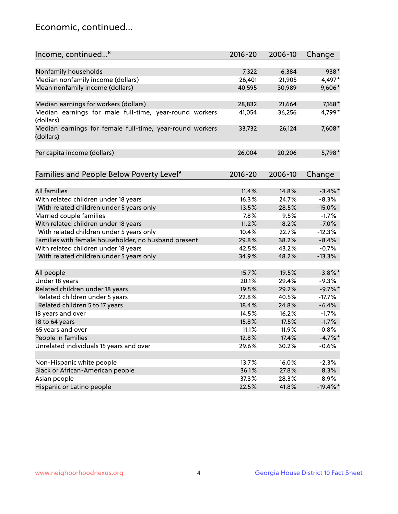## Economic, continued...

| Income, continued <sup>8</sup>                                        | $2016 - 20$ | 2006-10 | Change      |
|-----------------------------------------------------------------------|-------------|---------|-------------|
|                                                                       |             |         |             |
| Nonfamily households                                                  | 7,322       | 6,384   | 938*        |
| Median nonfamily income (dollars)                                     | 26,401      | 21,905  | 4,497*      |
| Mean nonfamily income (dollars)                                       | 40,595      | 30,989  | 9,606*      |
| Median earnings for workers (dollars)                                 | 28,832      | 21,664  | $7,168*$    |
| Median earnings for male full-time, year-round workers                | 41,054      | 36,256  | 4,799*      |
| (dollars)                                                             |             |         |             |
| Median earnings for female full-time, year-round workers<br>(dollars) | 33,732      | 26,124  | 7,608*      |
| Per capita income (dollars)                                           | 26,004      | 20,206  | 5,798*      |
|                                                                       |             |         |             |
| Families and People Below Poverty Level <sup>9</sup>                  | $2016 - 20$ | 2006-10 | Change      |
|                                                                       |             |         |             |
| <b>All families</b>                                                   | 11.4%       | 14.8%   | $-3.4\%$ *  |
| With related children under 18 years                                  | 16.3%       | 24.7%   | $-8.3%$     |
| With related children under 5 years only                              | 13.5%       | 28.5%   | $-15.0%$    |
| Married couple families                                               | 7.8%        | 9.5%    | $-1.7%$     |
| With related children under 18 years                                  | 11.2%       | 18.2%   | $-7.0%$     |
| With related children under 5 years only                              | 10.4%       | 22.7%   | $-12.3%$    |
| Families with female householder, no husband present                  | 29.8%       | 38.2%   | $-8.4%$     |
| With related children under 18 years                                  | 42.5%       | 43.2%   | $-0.7%$     |
| With related children under 5 years only                              | 34.9%       | 48.2%   | $-13.3%$    |
| All people                                                            | 15.7%       | 19.5%   | $-3.8\%$ *  |
| Under 18 years                                                        | 20.1%       | 29.4%   | $-9.3%$     |
| Related children under 18 years                                       | 19.5%       | 29.2%   | $-9.7\%$ *  |
| Related children under 5 years                                        | 22.8%       | 40.5%   | $-17.7%$    |
| Related children 5 to 17 years                                        | 18.4%       | 24.8%   | $-6.4%$     |
| 18 years and over                                                     | 14.5%       | 16.2%   | $-1.7%$     |
| 18 to 64 years                                                        | 15.8%       | 17.5%   | $-1.7%$     |
| 65 years and over                                                     | 11.1%       | 11.9%   | $-0.8%$     |
| People in families                                                    | 12.8%       | 17.4%   | $-4.7%$     |
| Unrelated individuals 15 years and over                               | 29.6%       | 30.2%   | $-0.6%$     |
|                                                                       |             |         |             |
| Non-Hispanic white people                                             | 13.7%       | 16.0%   | $-2.3%$     |
| Black or African-American people                                      | 36.1%       | 27.8%   | 8.3%        |
| Asian people                                                          | 37.3%       | 28.3%   | 8.9%        |
| Hispanic or Latino people                                             | 22.5%       | 41.8%   | $-19.4\%$ * |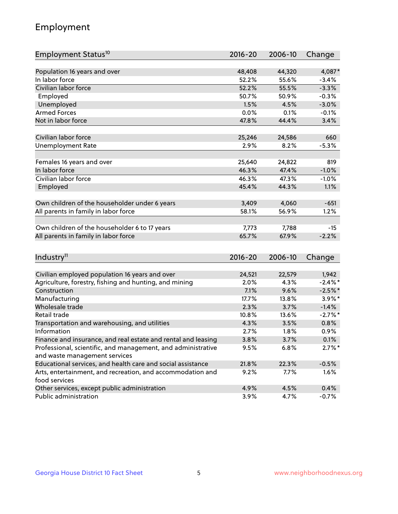## Employment

| Employment Status <sup>10</sup>                                             | 2016-20 | 2006-10 | Change     |
|-----------------------------------------------------------------------------|---------|---------|------------|
|                                                                             |         |         |            |
| Population 16 years and over                                                | 48,408  | 44,320  | 4,087*     |
| In labor force                                                              | 52.2%   | 55.6%   | $-3.4%$    |
| Civilian labor force                                                        | 52.2%   | 55.5%   | $-3.3%$    |
| Employed                                                                    | 50.7%   | 50.9%   | $-0.3%$    |
| Unemployed                                                                  | 1.5%    | 4.5%    | $-3.0%$    |
| <b>Armed Forces</b>                                                         | 0.0%    | 0.1%    | $-0.1%$    |
| Not in labor force                                                          | 47.8%   | 44.4%   | 3.4%       |
| Civilian labor force                                                        |         |         | 660        |
|                                                                             | 25,246  | 24,586  |            |
| <b>Unemployment Rate</b>                                                    | 2.9%    | 8.2%    | $-5.3%$    |
| Females 16 years and over                                                   | 25,640  | 24,822  | 819        |
| In labor force                                                              | 46.3%   | 47.4%   | $-1.0%$    |
| Civilian labor force                                                        | 46.3%   | 47.3%   | $-1.0%$    |
| Employed                                                                    | 45.4%   | 44.3%   | 1.1%       |
|                                                                             |         |         |            |
| Own children of the householder under 6 years                               | 3,409   | 4,060   | $-651$     |
| All parents in family in labor force                                        | 58.1%   | 56.9%   | 1.2%       |
|                                                                             |         |         |            |
| Own children of the householder 6 to 17 years                               | 7,773   | 7,788   | $-15$      |
| All parents in family in labor force                                        | 65.7%   | 67.9%   | $-2.2%$    |
|                                                                             |         |         |            |
| Industry <sup>11</sup>                                                      | 2016-20 | 2006-10 | Change     |
|                                                                             |         |         |            |
| Civilian employed population 16 years and over                              | 24,521  | 22,579  | 1,942      |
| Agriculture, forestry, fishing and hunting, and mining                      | 2.0%    | 4.3%    | $-2.4\%$ * |
| Construction                                                                | 7.1%    | 9.6%    | $-2.5%$ *  |
| Manufacturing                                                               | 17.7%   | 13.8%   | 3.9%*      |
| Wholesale trade                                                             | 2.3%    | 3.7%    | $-1.4%$    |
| Retail trade                                                                | 10.8%   | 13.6%   | $-2.7\%$ * |
| Transportation and warehousing, and utilities                               | 4.3%    | 3.5%    | 0.8%       |
| Information                                                                 | 2.7%    | 1.8%    | 0.9%       |
| Finance and insurance, and real estate and rental and leasing               | 3.8%    | 3.7%    | 0.1%       |
| Professional, scientific, and management, and administrative                | 9.5%    | 6.8%    | $2.7\%$ *  |
| and waste management services                                               |         |         |            |
| Educational services, and health care and social assistance                 | 21.8%   | 22.3%   | $-0.5%$    |
| Arts, entertainment, and recreation, and accommodation and<br>food services | 9.2%    | 7.7%    | 1.6%       |
| Other services, except public administration                                | 4.9%    | 4.5%    | 0.4%       |
| Public administration                                                       | 3.9%    | 4.7%    | $-0.7%$    |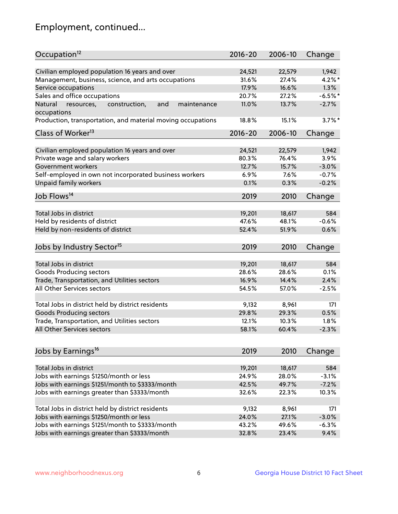## Employment, continued...

| Occupation <sup>12</sup>                                    | $2016 - 20$ | 2006-10 | Change    |
|-------------------------------------------------------------|-------------|---------|-----------|
| Civilian employed population 16 years and over              | 24,521      | 22,579  | 1,942     |
| Management, business, science, and arts occupations         | 31.6%       | 27.4%   | $4.2\%$ * |
| Service occupations                                         | 17.9%       | 16.6%   | 1.3%      |
| Sales and office occupations                                | 20.7%       | 27.2%   | $-6.5%$ * |
| and<br>Natural<br>maintenance                               | 11.0%       | 13.7%   | $-2.7%$   |
| resources,<br>construction,<br>occupations                  |             |         |           |
| Production, transportation, and material moving occupations | 18.8%       | 15.1%   | $3.7\%$ * |
| Class of Worker <sup>13</sup>                               | $2016 - 20$ | 2006-10 | Change    |
|                                                             | 24,521      | 22,579  |           |
| Civilian employed population 16 years and over              |             |         | 1,942     |
| Private wage and salary workers                             | 80.3%       | 76.4%   | 3.9%      |
| Government workers                                          | 12.7%       | 15.7%   | $-3.0%$   |
| Self-employed in own not incorporated business workers      | 6.9%        | 7.6%    | $-0.7%$   |
| Unpaid family workers                                       | 0.1%        | 0.3%    | $-0.2%$   |
| Job Flows <sup>14</sup>                                     | 2019        | 2010    | Change    |
|                                                             |             |         |           |
| Total Jobs in district                                      | 19,201      | 18,617  | 584       |
| Held by residents of district                               | 47.6%       | 48.1%   | $-0.6%$   |
| Held by non-residents of district                           | 52.4%       | 51.9%   | 0.6%      |
| Jobs by Industry Sector <sup>15</sup>                       | 2019        | 2010    | Change    |
| Total Jobs in district                                      | 19,201      | 18,617  | 584       |
|                                                             |             |         |           |
| Goods Producing sectors                                     | 28.6%       | 28.6%   | 0.1%      |
| Trade, Transportation, and Utilities sectors                | 16.9%       | 14.4%   | 2.4%      |
| All Other Services sectors                                  | 54.5%       | 57.0%   | $-2.5%$   |
| Total Jobs in district held by district residents           | 9,132       | 8,961   | 171       |
| <b>Goods Producing sectors</b>                              | 29.8%       | 29.3%   | 0.5%      |
| Trade, Transportation, and Utilities sectors                | 12.1%       | 10.3%   | 1.8%      |
| All Other Services sectors                                  | 58.1%       | 60.4%   | $-2.3%$   |
|                                                             |             |         |           |
| Jobs by Earnings <sup>16</sup>                              | 2019        | 2010    | Change    |
|                                                             |             |         |           |
| Total Jobs in district                                      | 19,201      | 18,617  | 584       |
| Jobs with earnings \$1250/month or less                     | 24.9%       | 28.0%   | $-3.1%$   |
| Jobs with earnings \$1251/month to \$3333/month             | 42.5%       | 49.7%   | $-7.2%$   |
| Jobs with earnings greater than \$3333/month                | 32.6%       | 22.3%   | 10.3%     |
| Total Jobs in district held by district residents           | 9,132       | 8,961   | 171       |
| Jobs with earnings \$1250/month or less                     | 24.0%       | 27.1%   | $-3.0%$   |
| Jobs with earnings \$1251/month to \$3333/month             | 43.2%       | 49.6%   | $-6.3%$   |
| Jobs with earnings greater than \$3333/month                | 32.8%       | 23.4%   | 9.4%      |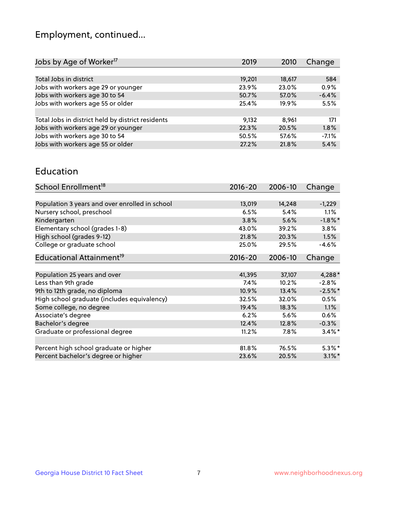## Employment, continued...

| 584<br>18,617    |
|------------------|
| 0.9%<br>23.0%    |
| $-6.4%$<br>57.0% |
| 5.5%<br>19.9%    |
|                  |
| 171<br>8,961     |
| 20.5%<br>1.8%    |
| $-7.1%$<br>57.6% |
| 5.4%<br>21.8%    |
|                  |

#### Education

| School Enrollment <sup>18</sup>                | $2016 - 20$ | 2006-10 | Change     |
|------------------------------------------------|-------------|---------|------------|
|                                                |             |         |            |
| Population 3 years and over enrolled in school | 13,019      | 14,248  | $-1,229$   |
| Nursery school, preschool                      | 6.5%        | 5.4%    | $1.1\%$    |
| Kindergarten                                   | 3.8%        | 5.6%    | $-1.8\%$ * |
| Elementary school (grades 1-8)                 | 43.0%       | 39.2%   | 3.8%       |
| High school (grades 9-12)                      | 21.8%       | 20.3%   | 1.5%       |
| College or graduate school                     | 25.0%       | 29.5%   | $-4.6%$    |
| Educational Attainment <sup>19</sup>           | $2016 - 20$ | 2006-10 | Change     |
|                                                |             |         |            |
| Population 25 years and over                   | 41,395      | 37,107  | $4,288*$   |
| Less than 9th grade                            | 7.4%        | 10.2%   | $-2.8%$    |
| 9th to 12th grade, no diploma                  | 10.9%       | 13.4%   | $-2.5%$ *  |
| High school graduate (includes equivalency)    | 32.5%       | 32.0%   | 0.5%       |
| Some college, no degree                        | 19.4%       | 18.3%   | 1.1%       |
| Associate's degree                             | 6.2%        | 5.6%    | 0.6%       |
| Bachelor's degree                              | 12.4%       | 12.8%   | $-0.3%$    |
| Graduate or professional degree                | 11.2%       | $7.8\%$ | $3.4\%$ *  |
|                                                |             |         |            |
| Percent high school graduate or higher         | 81.8%       | 76.5%   | $5.3\%$ *  |
| Percent bachelor's degree or higher            | 23.6%       | 20.5%   | $3.1\%$ *  |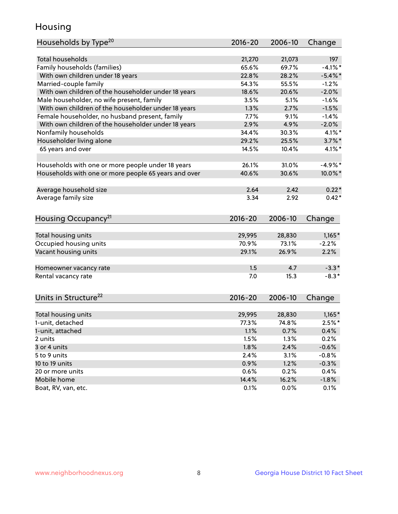## Housing

| Households by Type <sup>20</sup>                     | 2016-20 | 2006-10 | Change     |
|------------------------------------------------------|---------|---------|------------|
|                                                      |         |         |            |
| <b>Total households</b>                              | 21,270  | 21,073  | 197        |
| Family households (families)                         | 65.6%   | 69.7%   | $-4.1%$ *  |
| With own children under 18 years                     | 22.8%   | 28.2%   | $-5.4\%$ * |
| Married-couple family                                | 54.3%   | 55.5%   | $-1.2%$    |
| With own children of the householder under 18 years  | 18.6%   | 20.6%   | $-2.0%$    |
| Male householder, no wife present, family            | 3.5%    | 5.1%    | $-1.6%$    |
| With own children of the householder under 18 years  | 1.3%    | 2.7%    | $-1.5%$    |
| Female householder, no husband present, family       | 7.7%    | 9.1%    | $-1.4%$    |
| With own children of the householder under 18 years  | 2.9%    | 4.9%    | $-2.0%$    |
| Nonfamily households                                 | 34.4%   | 30.3%   | $4.1\%$ *  |
| Householder living alone                             | 29.2%   | 25.5%   | $3.7\%$ *  |
| 65 years and over                                    | 14.5%   | 10.4%   | $4.1\%$ *  |
|                                                      |         |         |            |
| Households with one or more people under 18 years    | 26.1%   | 31.0%   | $-4.9%$ *  |
| Households with one or more people 65 years and over | 40.6%   | 30.6%   | 10.0%*     |
|                                                      |         |         |            |
| Average household size                               | 2.64    | 2.42    | $0.22*$    |
| Average family size                                  | 3.34    | 2.92    | $0.42*$    |
| Housing Occupancy <sup>21</sup>                      | 2016-20 | 2006-10 | Change     |
|                                                      |         |         |            |
| Total housing units                                  | 29,995  | 28,830  | $1,165*$   |
| Occupied housing units                               | 70.9%   | 73.1%   | $-2.2%$    |
| Vacant housing units                                 | 29.1%   | 26.9%   | 2.2%       |
|                                                      |         |         |            |
| Homeowner vacancy rate                               | 1.5     | 4.7     | $-3.3*$    |
| Rental vacancy rate                                  | 7.0     | 15.3    | $-8.3*$    |
|                                                      |         |         |            |
| Units in Structure <sup>22</sup>                     | 2016-20 | 2006-10 | Change     |
|                                                      |         |         |            |
| Total housing units                                  | 29,995  | 28,830  | $1,165*$   |
| 1-unit, detached                                     | 77.3%   | 74.8%   | $2.5%$ *   |
| 1-unit, attached                                     | 1.1%    | 0.7%    | 0.4%       |
| 2 units                                              | 1.5%    | 1.3%    | 0.2%       |
| 3 or 4 units                                         | 1.8%    | 2.4%    | $-0.6%$    |
| 5 to 9 units                                         | 2.4%    | 3.1%    | $-0.8%$    |
| 10 to 19 units                                       | 0.9%    | 1.2%    | $-0.3%$    |
| 20 or more units                                     | 0.6%    | 0.2%    | 0.4%       |
| Mobile home                                          | 14.4%   | 16.2%   | $-1.8%$    |
| Boat, RV, van, etc.                                  | 0.1%    | 0.0%    | 0.1%       |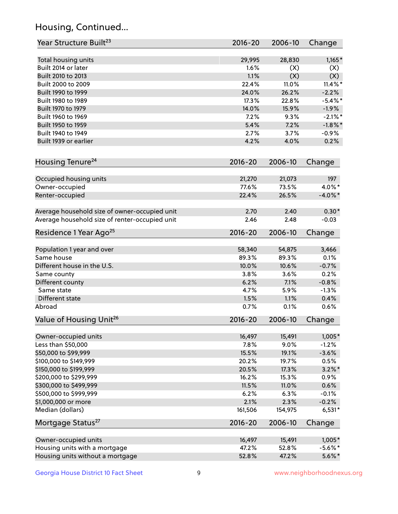## Housing, Continued...

| Year Structure Built <sup>23</sup>             | 2016-20     | 2006-10 | Change     |
|------------------------------------------------|-------------|---------|------------|
| Total housing units                            | 29,995      | 28,830  | $1,165*$   |
| Built 2014 or later                            | 1.6%        | (X)     | (X)        |
| Built 2010 to 2013                             | 1.1%        | (X)     | (X)        |
| Built 2000 to 2009                             | 22.4%       | 11.0%   | $11.4\%$ * |
| Built 1990 to 1999                             | 24.0%       | 26.2%   | $-2.2%$    |
| Built 1980 to 1989                             | 17.3%       | 22.8%   | $-5.4\%$ * |
| Built 1970 to 1979                             | 14.0%       | 15.9%   | $-1.9%$    |
| Built 1960 to 1969                             | 7.2%        | 9.3%    | $-2.1\%$ * |
| Built 1950 to 1959                             | 5.4%        | 7.2%    | $-1.8\%$ * |
| Built 1940 to 1949                             | 2.7%        | 3.7%    | $-0.9%$    |
| Built 1939 or earlier                          | 4.2%        | 4.0%    | 0.2%       |
| Housing Tenure <sup>24</sup>                   | $2016 - 20$ | 2006-10 | Change     |
| Occupied housing units                         | 21,270      | 21,073  | 197        |
| Owner-occupied                                 | 77.6%       | 73.5%   | 4.0%*      |
| Renter-occupied                                | 22.4%       | 26.5%   | $-4.0\%$ * |
| Average household size of owner-occupied unit  | 2.70        | 2.40    | $0.30*$    |
| Average household size of renter-occupied unit | 2.46        | 2.48    | $-0.03$    |
| Residence 1 Year Ago <sup>25</sup>             | 2016-20     | 2006-10 | Change     |
| Population 1 year and over                     | 58,340      | 54,875  | 3,466      |
| Same house                                     | 89.3%       | 89.3%   | 0.1%       |
| Different house in the U.S.                    | 10.0%       | 10.6%   | $-0.7%$    |
| Same county                                    | 3.8%        | 3.6%    | 0.2%       |
| Different county                               | 6.2%        | 7.1%    | $-0.8%$    |
| Same state                                     | 4.7%        | 5.9%    | $-1.3%$    |
| Different state                                | 1.5%        | 1.1%    | 0.4%       |
| Abroad                                         | 0.7%        | 0.1%    | 0.6%       |
| Value of Housing Unit <sup>26</sup>            | $2016 - 20$ | 2006-10 | Change     |
| Owner-occupied units                           | 16,497      | 15,491  | $1,005*$   |
| Less than \$50,000                             | 7.8%        | 9.0%    | $-1.2%$    |
| \$50,000 to \$99,999                           | 15.5%       | 19.1%   | $-3.6%$    |
| \$100,000 to \$149,999                         | 20.2%       | 19.7%   | 0.5%       |
| \$150,000 to \$199,999                         | 20.5%       | 17.3%   | $3.2\%$ *  |
| \$200,000 to \$299,999                         | 16.2%       | 15.3%   | 0.9%       |
| \$300,000 to \$499,999                         | 11.5%       | 11.0%   | 0.6%       |
| \$500,000 to \$999,999                         | 6.2%        | 6.3%    | $-0.1%$    |
| \$1,000,000 or more                            | 2.1%        | 2.3%    | $-0.2%$    |
| Median (dollars)                               | 161,506     | 154,975 | $6,531*$   |
| Mortgage Status <sup>27</sup>                  | $2016 - 20$ | 2006-10 | Change     |
| Owner-occupied units                           | 16,497      | 15,491  | $1,005*$   |
| Housing units with a mortgage                  | 47.2%       | 52.8%   | $-5.6\%$ * |
| Housing units without a mortgage               | 52.8%       | 47.2%   | $5.6\%$ *  |
|                                                |             |         |            |

Georgia House District 10 Fact Sheet 9 9 9 www.neighborhoodnexus.org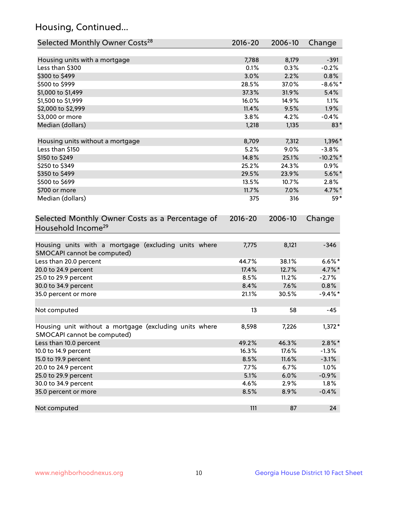## Housing, Continued...

| Selected Monthly Owner Costs <sup>28</sup>                                            | 2016-20     | 2006-10 | Change      |
|---------------------------------------------------------------------------------------|-------------|---------|-------------|
| Housing units with a mortgage                                                         | 7,788       | 8,179   | $-391$      |
| Less than \$300                                                                       | 0.1%        | 0.3%    | $-0.2%$     |
| \$300 to \$499                                                                        | 3.0%        | 2.2%    | 0.8%        |
| \$500 to \$999                                                                        | 28.5%       | 37.0%   | $-8.6\%$ *  |
| \$1,000 to \$1,499                                                                    | 37.3%       | 31.9%   | 5.4%        |
| \$1,500 to \$1,999                                                                    | 16.0%       | 14.9%   | 1.1%        |
| \$2,000 to \$2,999                                                                    | 11.4%       | 9.5%    | 1.9%        |
| \$3,000 or more                                                                       | 3.8%        | 4.2%    | $-0.4%$     |
| Median (dollars)                                                                      | 1,218       | 1,135   | 83*         |
| Housing units without a mortgage                                                      | 8,709       | 7,312   | 1,396*      |
| Less than \$150                                                                       | 5.2%        | 9.0%    | $-3.8%$     |
| \$150 to \$249                                                                        | 14.8%       | 25.1%   | $-10.2\%$ * |
| \$250 to \$349                                                                        | 25.2%       | 24.3%   | 0.9%        |
| \$350 to \$499                                                                        | 29.5%       | 23.9%   | $5.6\%$ *   |
| \$500 to \$699                                                                        | 13.5%       | 10.7%   | 2.8%        |
| \$700 or more                                                                         | 11.7%       | 7.0%    | $4.7\%$ *   |
| Median (dollars)                                                                      | 375         | 316     | 59*         |
| Selected Monthly Owner Costs as a Percentage of<br>Household Income <sup>29</sup>     | $2016 - 20$ | 2006-10 | Change      |
| Housing units with a mortgage (excluding units where<br>SMOCAPI cannot be computed)   | 7,775       | 8,121   | $-346$      |
| Less than 20.0 percent                                                                | 44.7%       | 38.1%   | $6.6\%*$    |
| 20.0 to 24.9 percent                                                                  | 17.4%       | 12.7%   | 4.7%*       |
| 25.0 to 29.9 percent                                                                  | 8.5%        | 11.2%   | $-2.7%$     |
| 30.0 to 34.9 percent                                                                  | 8.4%        | 7.6%    | 0.8%        |
| 35.0 percent or more                                                                  | 21.1%       | 30.5%   | $-9.4\%$ *  |
| Not computed                                                                          | 13          | 58      | $-45$       |
| Housing unit without a mortgage (excluding units where<br>SMOCAPI cannot be computed) | 8,598       | 7,226   | $1,372*$    |
| Less than 10.0 percent                                                                | 49.2%       | 46.3%   | $2.8\%$ *   |
| 10.0 to 14.9 percent                                                                  | 16.3%       | 17.6%   | $-1.3%$     |
| 15.0 to 19.9 percent                                                                  | 8.5%        | 11.6%   | $-3.1%$     |
| 20.0 to 24.9 percent                                                                  | 7.7%        | 6.7%    | 1.0%        |
| 25.0 to 29.9 percent                                                                  | 5.1%        | 6.0%    | $-0.9%$     |
| 30.0 to 34.9 percent                                                                  | 4.6%        | 2.9%    | 1.8%        |
| 35.0 percent or more                                                                  | 8.5%        | 8.9%    | $-0.4%$     |
| Not computed                                                                          | 111         | 87      | 24          |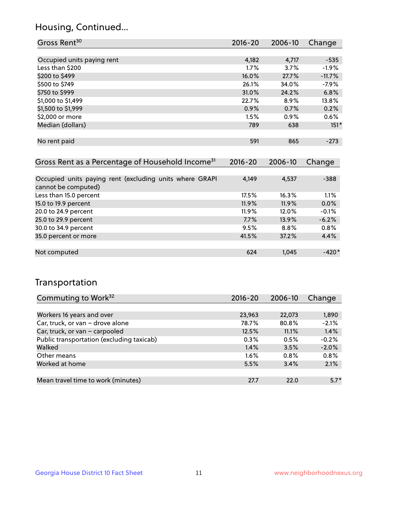## Housing, Continued...

| Gross Rent <sup>30</sup>                                     | 2016-20     | 2006-10 | Change   |
|--------------------------------------------------------------|-------------|---------|----------|
|                                                              |             |         |          |
| Occupied units paying rent                                   | 4,182       | 4,717   | $-535$   |
| Less than \$200                                              | $1.7\%$     | 3.7%    | $-1.9%$  |
| \$200 to \$499                                               | 16.0%       | 27.7%   | $-11.7%$ |
| \$500 to \$749                                               | 26.1%       | 34.0%   | $-7.9%$  |
| \$750 to \$999                                               | 31.0%       | 24.2%   | 6.8%     |
| \$1,000 to \$1,499                                           | 22.7%       | 8.9%    | 13.8%    |
| \$1,500 to \$1,999                                           | 0.9%        | 0.7%    | 0.2%     |
| \$2,000 or more                                              | 1.5%        | 0.9%    | 0.6%     |
| Median (dollars)                                             | 789         | 638     | $151*$   |
|                                                              |             |         |          |
| No rent paid                                                 | 591         | 865     | $-273$   |
|                                                              |             |         |          |
| Gross Rent as a Percentage of Household Income <sup>31</sup> | $2016 - 20$ | 2006-10 | Change   |
|                                                              |             |         |          |

| Occupied units paying rent (excluding units where GRAPI | 4.149 | 4,537 | $-388$  |
|---------------------------------------------------------|-------|-------|---------|
| cannot be computed)                                     |       |       |         |
| Less than 15.0 percent                                  | 17.5% | 16.3% | 1.1%    |
| 15.0 to 19.9 percent                                    | 11.9% | 11.9% | 0.0%    |
| 20.0 to 24.9 percent                                    | 11.9% | 12.0% | $-0.1%$ |
| 25.0 to 29.9 percent                                    | 7.7%  | 13.9% | $-6.2%$ |
| 30.0 to 34.9 percent                                    | 9.5%  | 8.8%  | 0.8%    |
| 35.0 percent or more                                    | 41.5% | 37.2% | 4.4%    |
|                                                         |       |       |         |
| Not computed                                            | 624   | 1.045 | $-420*$ |

## Transportation

| Commuting to Work <sup>32</sup>           | $2016 - 20$ | 2006-10 | Change  |
|-------------------------------------------|-------------|---------|---------|
|                                           |             |         |         |
| Workers 16 years and over                 | 23,963      | 22,073  | 1,890   |
| Car, truck, or van - drove alone          | 78.7%       | 80.8%   | $-2.1%$ |
| Car, truck, or van - carpooled            | 12.5%       | 11.1%   | 1.4%    |
| Public transportation (excluding taxicab) | 0.3%        | 0.5%    | $-0.2%$ |
| Walked                                    | 1.4%        | 3.5%    | $-2.0%$ |
| Other means                               | $1.6\%$     | $0.8\%$ | 0.8%    |
| Worked at home                            | 5.5%        | 3.4%    | 2.1%    |
|                                           |             |         |         |
| Mean travel time to work (minutes)        | 27.7        | 22.0    | $5.7*$  |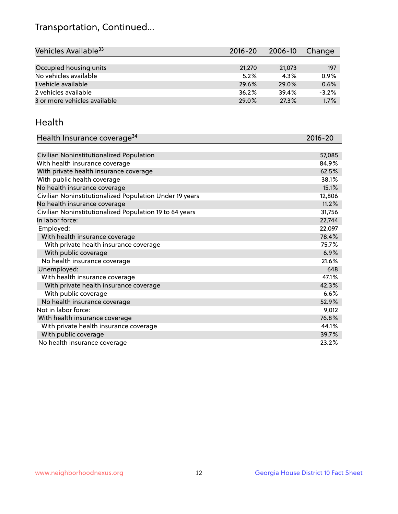## Transportation, Continued...

| Vehicles Available <sup>33</sup> | $2016 - 20$ | 2006-10 | Change  |
|----------------------------------|-------------|---------|---------|
|                                  |             |         |         |
| Occupied housing units           | 21,270      | 21,073  | 197     |
| No vehicles available            | 5.2%        | $4.3\%$ | $0.9\%$ |
| 1 vehicle available              | 29.6%       | 29.0%   | 0.6%    |
| 2 vehicles available             | 36.2%       | 39.4%   | $-3.2%$ |
| 3 or more vehicles available     | 29.0%       | 27.3%   | 1.7%    |

#### Health

| Health Insurance coverage <sup>34</sup>                 | 2016-20 |
|---------------------------------------------------------|---------|
|                                                         |         |
| Civilian Noninstitutionalized Population                | 57,085  |
| With health insurance coverage                          | 84.9%   |
| With private health insurance coverage                  | 62.5%   |
| With public health coverage                             | 38.1%   |
| No health insurance coverage                            | 15.1%   |
| Civilian Noninstitutionalized Population Under 19 years | 12,806  |
| No health insurance coverage                            | 11.2%   |
| Civilian Noninstitutionalized Population 19 to 64 years | 31,756  |
| In labor force:                                         | 22,744  |
| Employed:                                               | 22,097  |
| With health insurance coverage                          | 78.4%   |
| With private health insurance coverage                  | 75.7%   |
| With public coverage                                    | 6.9%    |
| No health insurance coverage                            | 21.6%   |
| Unemployed:                                             | 648     |
| With health insurance coverage                          | 47.1%   |
| With private health insurance coverage                  | 42.3%   |
| With public coverage                                    | 6.6%    |
| No health insurance coverage                            | 52.9%   |
| Not in labor force:                                     | 9,012   |
| With health insurance coverage                          | 76.8%   |
| With private health insurance coverage                  | 44.1%   |
| With public coverage                                    | 39.7%   |
| No health insurance coverage                            | 23.2%   |